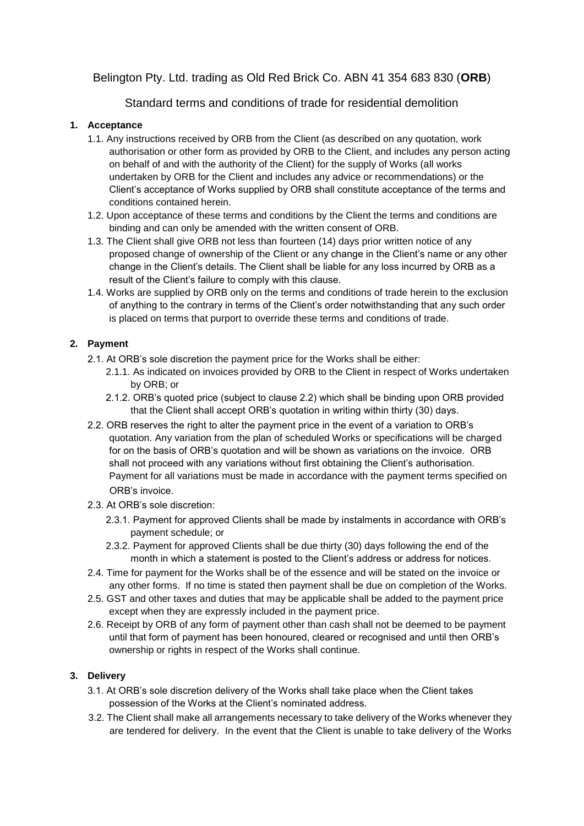# Belington Pty. Ltd. trading as Old Red Brick Co. ABN 41 354 683 830 (**ORB**)

# Standard terms and conditions of trade for residential demolition

# **1. Acceptance**

- 1.1. Any instructions received by ORB from the Client (as described on any quotation, work authorisation or other form as provided by ORB to the Client, and includes any person acting on behalf of and with the authority of the Client) for the supply of Works (all works undertaken by ORB for the Client and includes any advice or recommendations) or the Client's acceptance of Works supplied by ORB shall constitute acceptance of the terms and conditions contained herein.
- 1.2. Upon acceptance of these terms and conditions by the Client the terms and conditions are binding and can only be amended with the written consent of ORB.
- 1.3. The Client shall give ORB not less than fourteen (14) days prior written notice of any proposed change of ownership of the Client or any change in the Client's name or any other change in the Client's details. The Client shall be liable for any loss incurred by ORB as a result of the Client's failure to comply with this clause.
- 1.4. Works are supplied by ORB only on the terms and conditions of trade herein to the exclusion of anything to the contrary in terms of the Client's order notwithstanding that any such order is placed on terms that purport to override these terms and conditions of trade.

# **2. Payment**

- 2.1. At ORB's sole discretion the payment price for the Works shall be either:
	- 2.1.1. As indicated on invoices provided by ORB to the Client in respect of Works undertaken by ORB; or
	- 2.1.2. ORB's quoted price (subject to clause 2.2) which shall be binding upon ORB provided that the Client shall accept ORB's quotation in writing within thirty (30) days.
- 2.2. ORB reserves the right to alter the payment price in the event of a variation to ORB's quotation. Any variation from the plan of scheduled Works or specifications will be charged for on the basis of ORB's quotation and will be shown as variations on the invoice. ORB shall not proceed with any variations without first obtaining the Client's authorisation. Payment for all variations must be made in accordance with the payment terms specified on ORB's invoice.
- 2.3. At ORB's sole discretion:
	- 2.3.1. Payment for approved Clients shall be made by instalments in accordance with ORB's payment schedule; or
	- 2.3.2. Payment for approved Clients shall be due thirty (30) days following the end of the month in which a statement is posted to the Client's address or address for notices.
- 2.4. Time for payment for the Works shall be of the essence and will be stated on the invoice or any other forms. If no time is stated then payment shall be due on completion of the Works.
- 2.5. GST and other taxes and duties that may be applicable shall be added to the payment price except when they are expressly included in the payment price.
- 2.6. Receipt by ORB of any form of payment other than cash shall not be deemed to be payment until that form of payment has been honoured, cleared or recognised and until then ORB's ownership or rights in respect of the Works shall continue.

# **3. Delivery**

- 3.1. At ORB's sole discretion delivery of the Works shall take place when the Client takes possession of the Works at the Client's nominated address.
- 3.2. The Client shall make all arrangements necessary to take delivery of the Works whenever they are tendered for delivery. In the event that the Client is unable to take delivery of the Works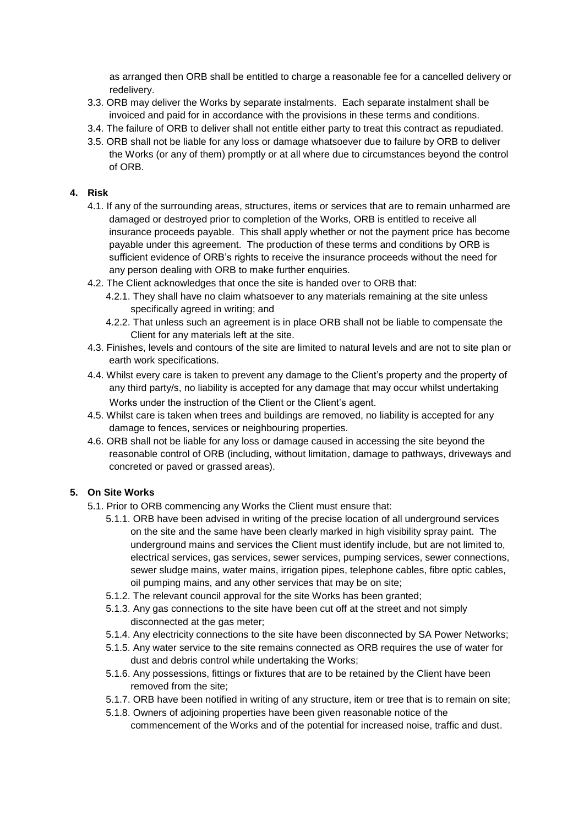as arranged then ORB shall be entitled to charge a reasonable fee for a cancelled delivery or redelivery.

- 3.3. ORB may deliver the Works by separate instalments. Each separate instalment shall be invoiced and paid for in accordance with the provisions in these terms and conditions.
- 3.4. The failure of ORB to deliver shall not entitle either party to treat this contract as repudiated.
- 3.5. ORB shall not be liable for any loss or damage whatsoever due to failure by ORB to deliver the Works (or any of them) promptly or at all where due to circumstances beyond the control of ORB.

### **4. Risk**

- 4.1. If any of the surrounding areas, structures, items or services that are to remain unharmed are damaged or destroyed prior to completion of the Works, ORB is entitled to receive all insurance proceeds payable. This shall apply whether or not the payment price has become payable under this agreement. The production of these terms and conditions by ORB is sufficient evidence of ORB's rights to receive the insurance proceeds without the need for any person dealing with ORB to make further enquiries.
- 4.2. The Client acknowledges that once the site is handed over to ORB that:
	- 4.2.1. They shall have no claim whatsoever to any materials remaining at the site unless specifically agreed in writing; and
	- 4.2.2. That unless such an agreement is in place ORB shall not be liable to compensate the Client for any materials left at the site.
- 4.3. Finishes, levels and contours of the site are limited to natural levels and are not to site plan or earth work specifications.
- 4.4. Whilst every care is taken to prevent any damage to the Client's property and the property of any third party/s, no liability is accepted for any damage that may occur whilst undertaking Works under the instruction of the Client or the Client's agent.
- 4.5. Whilst care is taken when trees and buildings are removed, no liability is accepted for any damage to fences, services or neighbouring properties.
- 4.6. ORB shall not be liable for any loss or damage caused in accessing the site beyond the reasonable control of ORB (including, without limitation, damage to pathways, driveways and concreted or paved or grassed areas).

### **5. On Site Works**

- 5.1. Prior to ORB commencing any Works the Client must ensure that:
	- 5.1.1. ORB have been advised in writing of the precise location of all underground services on the site and the same have been clearly marked in high visibility spray paint. The underground mains and services the Client must identify include, but are not limited to, electrical services, gas services, sewer services, pumping services, sewer connections, sewer sludge mains, water mains, irrigation pipes, telephone cables, fibre optic cables, oil pumping mains, and any other services that may be on site;
	- 5.1.2. The relevant council approval for the site Works has been granted;
	- 5.1.3. Any gas connections to the site have been cut off at the street and not simply disconnected at the gas meter;
	- 5.1.4. Any electricity connections to the site have been disconnected by SA Power Networks;
	- 5.1.5. Any water service to the site remains connected as ORB requires the use of water for dust and debris control while undertaking the Works;
	- 5.1.6. Any possessions, fittings or fixtures that are to be retained by the Client have been removed from the site;
	- 5.1.7. ORB have been notified in writing of any structure, item or tree that is to remain on site;
	- 5.1.8. Owners of adjoining properties have been given reasonable notice of the commencement of the Works and of the potential for increased noise, traffic and dust.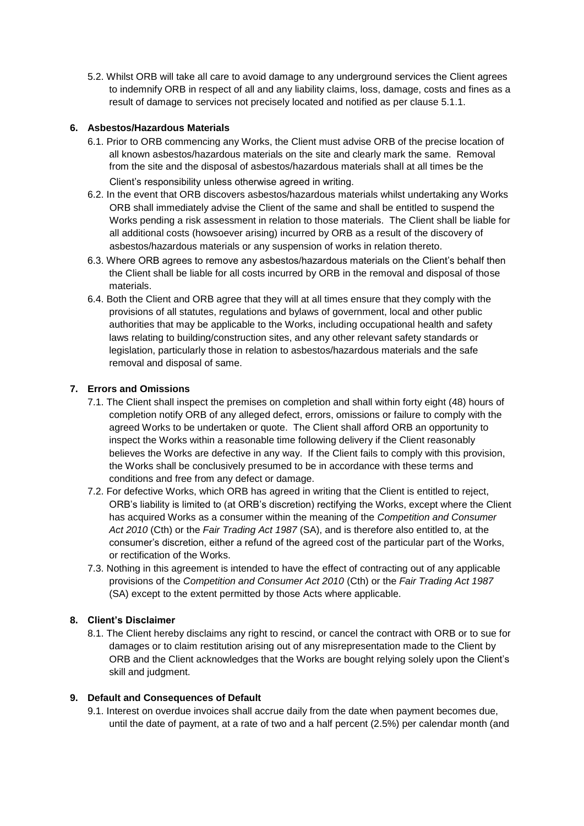5.2. Whilst ORB will take all care to avoid damage to any underground services the Client agrees to indemnify ORB in respect of all and any liability claims, loss, damage, costs and fines as a result of damage to services not precisely located and notified as per clause 5.1.1.

## **6. Asbestos/Hazardous Materials**

- 6.1. Prior to ORB commencing any Works, the Client must advise ORB of the precise location of all known asbestos/hazardous materials on the site and clearly mark the same. Removal from the site and the disposal of asbestos/hazardous materials shall at all times be the Client's responsibility unless otherwise agreed in writing.
- 6.2. In the event that ORB discovers asbestos/hazardous materials whilst undertaking any Works ORB shall immediately advise the Client of the same and shall be entitled to suspend the Works pending a risk assessment in relation to those materials. The Client shall be liable for all additional costs (howsoever arising) incurred by ORB as a result of the discovery of asbestos/hazardous materials or any suspension of works in relation thereto.
- 6.3. Where ORB agrees to remove any asbestos/hazardous materials on the Client's behalf then the Client shall be liable for all costs incurred by ORB in the removal and disposal of those materials.
- 6.4. Both the Client and ORB agree that they will at all times ensure that they comply with the provisions of all statutes, regulations and bylaws of government, local and other public authorities that may be applicable to the Works, including occupational health and safety laws relating to building/construction sites, and any other relevant safety standards or legislation, particularly those in relation to asbestos/hazardous materials and the safe removal and disposal of same.

## **7. Errors and Omissions**

- 7.1. The Client shall inspect the premises on completion and shall within forty eight (48) hours of completion notify ORB of any alleged defect, errors, omissions or failure to comply with the agreed Works to be undertaken or quote. The Client shall afford ORB an opportunity to inspect the Works within a reasonable time following delivery if the Client reasonably believes the Works are defective in any way. If the Client fails to comply with this provision, the Works shall be conclusively presumed to be in accordance with these terms and conditions and free from any defect or damage.
- 7.2. For defective Works, which ORB has agreed in writing that the Client is entitled to reject, ORB's liability is limited to (at ORB's discretion) rectifying the Works, except where the Client has acquired Works as a consumer within the meaning of the *Competition and Consumer Act 2010* (Cth) or the *Fair Trading Act 1987* (SA), and is therefore also entitled to, at the consumer's discretion, either a refund of the agreed cost of the particular part of the Works, or rectification of the Works.
- 7.3. Nothing in this agreement is intended to have the effect of contracting out of any applicable provisions of the *Competition and Consumer Act 2010* (Cth) or the *Fair Trading Act 1987*  (SA) except to the extent permitted by those Acts where applicable.

# **8. Client's Disclaimer**

8.1. The Client hereby disclaims any right to rescind, or cancel the contract with ORB or to sue for damages or to claim restitution arising out of any misrepresentation made to the Client by ORB and the Client acknowledges that the Works are bought relying solely upon the Client's skill and judgment.

### **9. Default and Consequences of Default**

9.1. Interest on overdue invoices shall accrue daily from the date when payment becomes due, until the date of payment, at a rate of two and a half percent (2.5%) per calendar month (and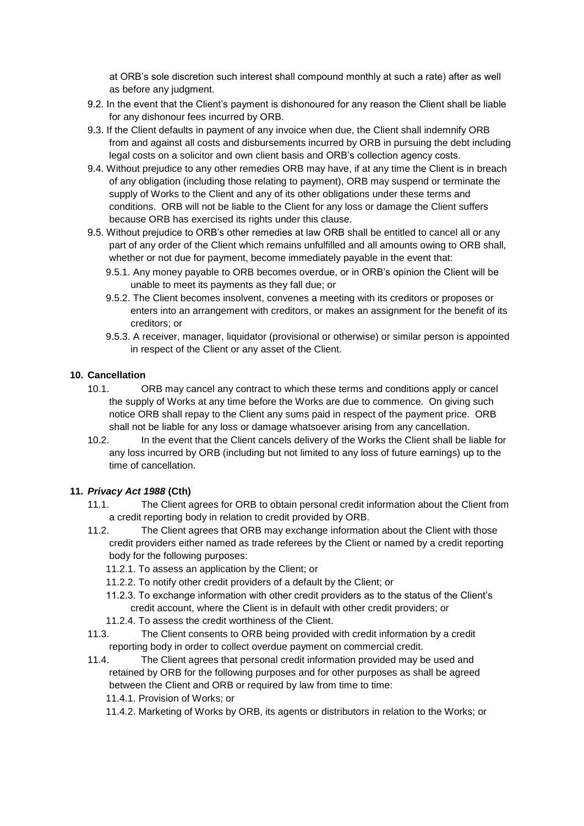at ORB's sole discretion such interest shall compound monthly at such a rate) after as well as before any judgment.

- 9.2. In the event that the Client's payment is dishonoured for any reason the Client shall be liable for any dishonour fees incurred by ORB.
- 9.3. If the Client defaults in payment of any invoice when due, the Client shall indemnify ORB from and against all costs and disbursements incurred by ORB in pursuing the debt including legal costs on a solicitor and own client basis and ORB's collection agency costs.
- 9.4. Without prejudice to any other remedies ORB may have, if at any time the Client is in breach of any obligation (including those relating to payment), ORB may suspend or terminate the supply of Works to the Client and any of its other obligations under these terms and conditions. ORB will not be liable to the Client for any loss or damage the Client suffers because ORB has exercised its rights under this clause.
- 9.5. Without prejudice to ORB's other remedies at law ORB shall be entitled to cancel all or any part of any order of the Client which remains unfulfilled and all amounts owing to ORB shall, whether or not due for payment, become immediately payable in the event that:
	- 9.5.1. Any money payable to ORB becomes overdue, or in ORB's opinion the Client will be unable to meet its payments as they fall due; or
	- 9.5.2. The Client becomes insolvent, convenes a meeting with its creditors or proposes or enters into an arrangement with creditors, or makes an assignment for the benefit of its creditors; or
	- 9.5.3. A receiver, manager, liquidator (provisional or otherwise) or similar person is appointed in respect of the Client or any asset of the Client.

## **10. Cancellation**

- 10.1. ORB may cancel any contract to which these terms and conditions apply or cancel the supply of Works at any time before the Works are due to commence. On giving such notice ORB shall repay to the Client any sums paid in respect of the payment price. ORB shall not be liable for any loss or damage whatsoever arising from any cancellation.
- 10.2. In the event that the Client cancels delivery of the Works the Client shall be liable for any loss incurred by ORB (including but not limited to any loss of future earnings) up to the time of cancellation.

# **11.** *Privacy Act 1988* **(Cth)**

- 11.1. The Client agrees for ORB to obtain personal credit information about the Client from a credit reporting body in relation to credit provided by ORB.
- 11.2. The Client agrees that ORB may exchange information about the Client with those credit providers either named as trade referees by the Client or named by a credit reporting body for the following purposes:
	- 11.2.1. To assess an application by the Client; or
	- 11.2.2. To notify other credit providers of a default by the Client; or
	- 11.2.3. To exchange information with other credit providers as to the status of the Client's credit account, where the Client is in default with other credit providers; or
	- 11.2.4. To assess the credit worthiness of the Client.
- 11.3. The Client consents to ORB being provided with credit information by a credit reporting body in order to collect overdue payment on commercial credit.
- 11.4. The Client agrees that personal credit information provided may be used and retained by ORB for the following purposes and for other purposes as shall be agreed between the Client and ORB or required by law from time to time: 11.4.1. Provision of Works; or

11.4.2. Marketing of Works by ORB, its agents or distributors in relation to the Works; or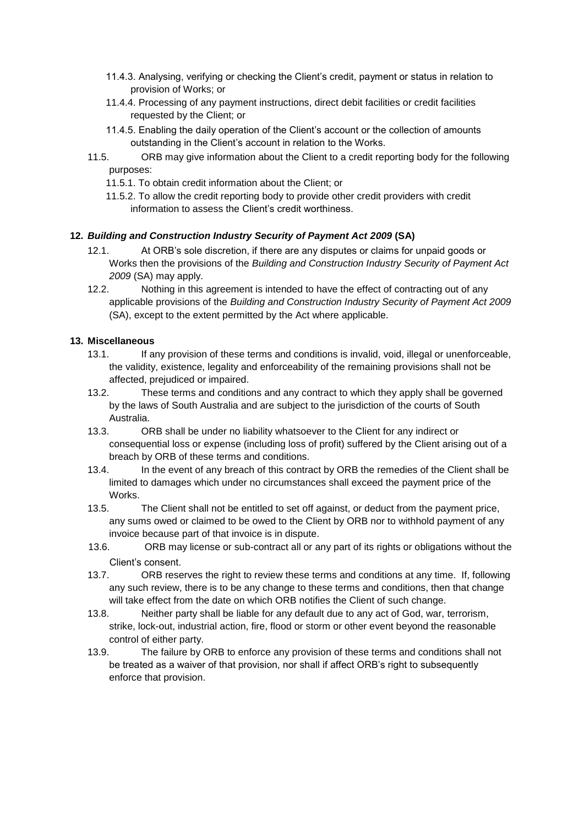- 11.4.3. Analysing, verifying or checking the Client's credit, payment or status in relation to provision of Works; or
- 11.4.4. Processing of any payment instructions, direct debit facilities or credit facilities requested by the Client; or
- 11.4.5. Enabling the daily operation of the Client's account or the collection of amounts outstanding in the Client's account in relation to the Works.
- 11.5. ORB may give information about the Client to a credit reporting body for the following purposes:
	- 11.5.1. To obtain credit information about the Client; or
	- 11.5.2. To allow the credit reporting body to provide other credit providers with credit information to assess the Client's credit worthiness.

### **12.** *Building and Construction Industry Security of Payment Act 2009* **(SA)**

- 12.1. At ORB's sole discretion, if there are any disputes or claims for unpaid goods or Works then the provisions of the *Building and Construction Industry Security of Payment Act 2009* (SA) may apply.
- 12.2. Nothing in this agreement is intended to have the effect of contracting out of any applicable provisions of the *Building and Construction Industry Security of Payment Act 2009* (SA), except to the extent permitted by the Act where applicable.

## **13. Miscellaneous**

- 13.1. If any provision of these terms and conditions is invalid, void, illegal or unenforceable, the validity, existence, legality and enforceability of the remaining provisions shall not be affected, prejudiced or impaired.
- 13.2. These terms and conditions and any contract to which they apply shall be governed by the laws of South Australia and are subject to the jurisdiction of the courts of South Australia.
- 13.3. ORB shall be under no liability whatsoever to the Client for any indirect or consequential loss or expense (including loss of profit) suffered by the Client arising out of a breach by ORB of these terms and conditions.
- 13.4. In the event of any breach of this contract by ORB the remedies of the Client shall be limited to damages which under no circumstances shall exceed the payment price of the Works.
- 13.5. The Client shall not be entitled to set off against, or deduct from the payment price, any sums owed or claimed to be owed to the Client by ORB nor to withhold payment of any invoice because part of that invoice is in dispute.
- 13.6. ORB may license or sub-contract all or any part of its rights or obligations without the Client's consent.
- 13.7. ORB reserves the right to review these terms and conditions at any time. If, following any such review, there is to be any change to these terms and conditions, then that change will take effect from the date on which ORB notifies the Client of such change.
- 13.8. Neither party shall be liable for any default due to any act of God, war, terrorism, strike, lock-out, industrial action, fire, flood or storm or other event beyond the reasonable control of either party.
- 13.9. The failure by ORB to enforce any provision of these terms and conditions shall not be treated as a waiver of that provision, nor shall if affect ORB's right to subsequently enforce that provision.